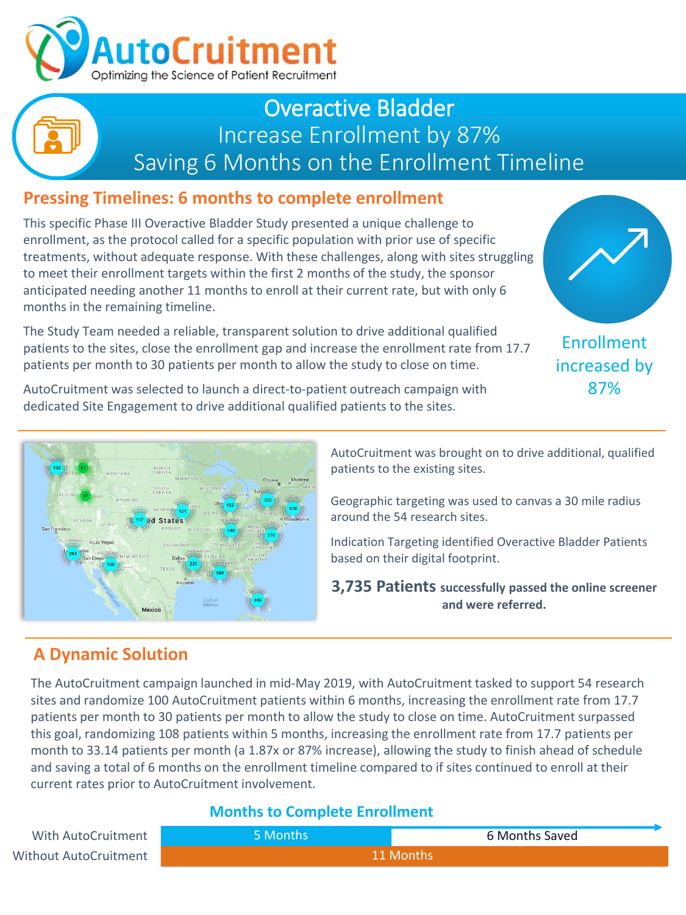

## Overactive Bladder Increase Enrollment by 87% Saving 6 Months on the Enrollment Timeline

## **Pressing Timelines: 6 months to complete enrollment**

This specific Phase III Overactive Bladder Study presented a unique challenge to enrollment, as the protocol called for a specific population with prior use of specific treatments, without adequate response. With these challenges, along with sites struggling to meet their enrollment targets within the first 2 months of the study, the sponsor anticipated needing another 11 months to enroll at their current rate, but with only 6 months in the remaining timeline.

The Study Team needed a reliable, transparent solution to drive additional qualified patients to the sites, close the enrollment gap and increase the enrollment rate from 17.7 patients per month to 30 patients per month to allow the study to close on time.



Enrollment increased by 87%

AutoCruitment was selected to launch a direct-to-patient outreach campaign with dedicated Site Engagement to drive additional qualified patients to the sites.



AutoCruitment was brought on to drive additional, qualified patients to the existing sites.

Geographic targeting was used to canvas a 30 mile radius around the 54 research sites.

Indication Targeting identified Overactive Bladder Patients based on their digital footprint.

**3,735 Patients successfully passed the online screener and were referred.**

## **A Dynamic Solution**

The AutoCruitment campaign launched in mid-May 2019, with AutoCruitment tasked to support 54 research sites and randomize 100 AutoCruitment patients within 6 months, increasing the enrollment rate from 17.7 patients per month to 30 patients per month to allow the study to close on time. AutoCruitment surpassed this goal, randomizing 108 patients within 5 months, increasing the enrollment rate from 17.7 patients per month to 33.14 patients per month (a 1.87x or 87% increase), allowing the study to finish ahead of schedule and saving a total of 6 months on the enrollment timeline compared to if sites continued to enroll at their current rates prior to AutoCruitment involvement.

#### **Months to Complete Enrollment**

| With AutoCruitment    | 5 Months  | 6 Months Saved |
|-----------------------|-----------|----------------|
| Without AutoCruitment | 11 Months |                |